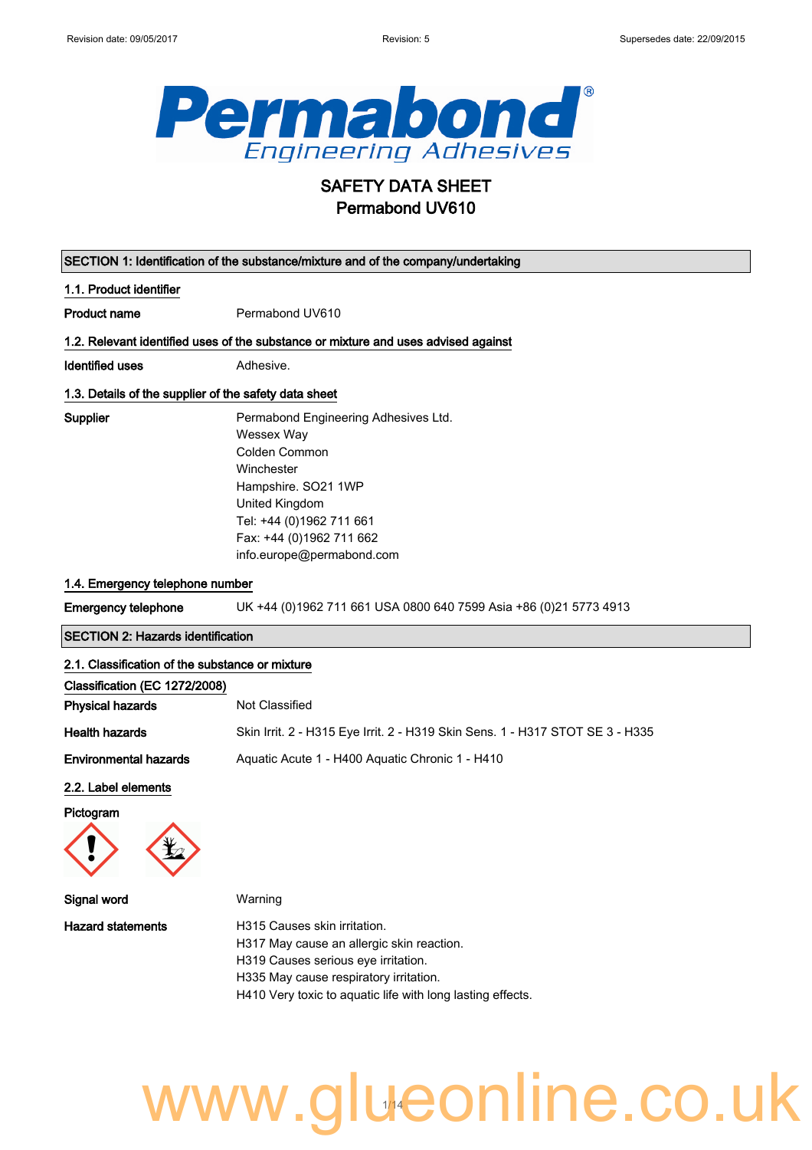$\Big\}$ 



## SAFETY DATA SHEET Permabond UV610

| SECTION 1: Identification of the substance/mixture and of the company/undertaking |                                                                                    |
|-----------------------------------------------------------------------------------|------------------------------------------------------------------------------------|
| 1.1. Product identifier                                                           |                                                                                    |
| <b>Product name</b>                                                               | Permabond UV610                                                                    |
|                                                                                   | 1.2. Relevant identified uses of the substance or mixture and uses advised against |
| <b>Identified uses</b>                                                            | Adhesive.                                                                          |
|                                                                                   | 1.3. Details of the supplier of the safety data sheet                              |
| <b>Supplier</b>                                                                   | Permabond Engineering Adhesives Ltd.                                               |
|                                                                                   | Wessex Way                                                                         |
|                                                                                   | Colden Common                                                                      |
|                                                                                   | Winchester                                                                         |
|                                                                                   | Hampshire. SO21 1WP                                                                |
|                                                                                   | United Kingdom                                                                     |
|                                                                                   | Tel: +44 (0)1962 711 661                                                           |
|                                                                                   | Fax: +44 (0)1962 711 662                                                           |
|                                                                                   | info.europe@permabond.com                                                          |
| 1.4. Emergency telephone number                                                   |                                                                                    |
| Emergency telephone                                                               | UK +44 (0)1962 711 661 USA 0800 640 7599 Asia +86 (0)21 5773 4913                  |
|                                                                                   |                                                                                    |

SECTION 2: Hazards identification

#### 2.1. Classification of the substance or mixture

| Not Classified                                                                |
|-------------------------------------------------------------------------------|
| Skin Irrit. 2 - H315 Eye Irrit. 2 - H319 Skin Sens. 1 - H317 STOT SE 3 - H335 |
| Aguatic Acute 1 - H400 Aguatic Chronic 1 - H410                               |
|                                                                               |

#### 2.2. Label elements

Pictogram



| Signal word              | Warning                                                                                                                                                                                                                  |
|--------------------------|--------------------------------------------------------------------------------------------------------------------------------------------------------------------------------------------------------------------------|
| <b>Hazard statements</b> | H315 Causes skin irritation.<br>H317 May cause an allergic skin reaction.<br>H319 Causes serious eye irritation.<br>H335 May cause respiratory irritation.<br>H410 Very toxic to aquatic life with long lasting effects. |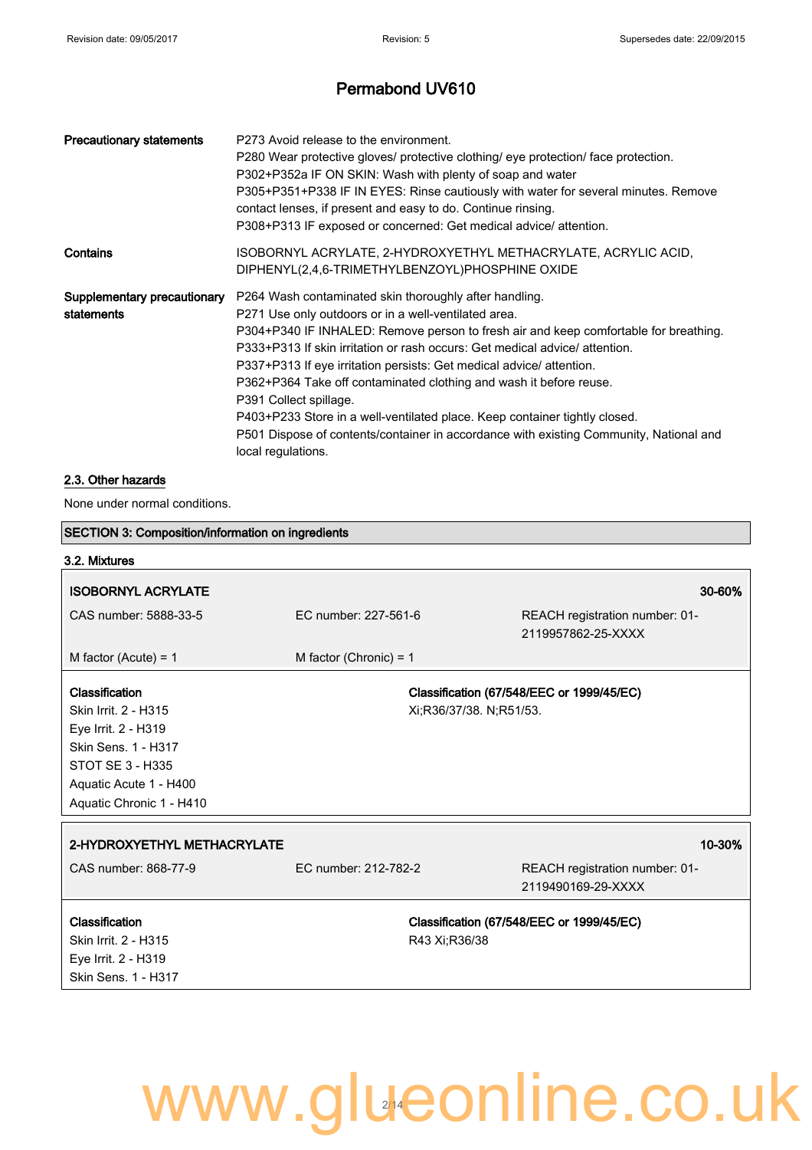| <b>Precautionary statements</b>           | P273 Avoid release to the environment.<br>P280 Wear protective gloves/ protective clothing/ eye protection/ face protection.<br>P302+P352a IF ON SKIN: Wash with plenty of soap and water<br>P305+P351+P338 IF IN EYES: Rinse cautiously with water for several minutes. Remove<br>contact lenses, if present and easy to do. Continue rinsing.<br>P308+P313 IF exposed or concerned: Get medical advice/attention.                                                                                                                                                                                                                                       |
|-------------------------------------------|-----------------------------------------------------------------------------------------------------------------------------------------------------------------------------------------------------------------------------------------------------------------------------------------------------------------------------------------------------------------------------------------------------------------------------------------------------------------------------------------------------------------------------------------------------------------------------------------------------------------------------------------------------------|
| Contains                                  | ISOBORNYL ACRYLATE, 2-HYDROXYETHYL METHACRYLATE, ACRYLIC ACID,<br>DIPHENYL(2,4,6-TRIMETHYLBENZOYL)PHOSPHINE OXIDE                                                                                                                                                                                                                                                                                                                                                                                                                                                                                                                                         |
| Supplementary precautionary<br>statements | P264 Wash contaminated skin thoroughly after handling.<br>P271 Use only outdoors or in a well-ventilated area.<br>P304+P340 IF INHALED: Remove person to fresh air and keep comfortable for breathing.<br>P333+P313 If skin irritation or rash occurs: Get medical advice/attention.<br>P337+P313 If eye irritation persists: Get medical advice/attention.<br>P362+P364 Take off contaminated clothing and wash it before reuse.<br>P391 Collect spillage.<br>P403+P233 Store in a well-ventilated place. Keep container tightly closed.<br>P501 Dispose of contents/container in accordance with existing Community, National and<br>local regulations. |

#### 2.3. Other hazards

None under normal conditions.

| <b>SECTION 3: Composition/information on ingredients</b> |                          |                                                      |
|----------------------------------------------------------|--------------------------|------------------------------------------------------|
| 3.2. Mixtures                                            |                          |                                                      |
| <b>ISOBORNYL ACRYLATE</b>                                |                          | 30-60%                                               |
| CAS number: 5888-33-5                                    | EC number: 227-561-6     | REACH registration number: 01-<br>2119957862-25-XXXX |
| M factor (Acute) = $1$                                   | M factor (Chronic) = $1$ |                                                      |
| Classification                                           |                          | Classification (67/548/EEC or 1999/45/EC)            |
| Skin Irrit. 2 - H315                                     |                          | Xi;R36/37/38. N;R51/53.                              |
| Eye Irrit. 2 - H319                                      |                          |                                                      |
| Skin Sens. 1 - H317                                      |                          |                                                      |
| <b>STOT SE 3 - H335</b>                                  |                          |                                                      |
| Aquatic Acute 1 - H400                                   |                          |                                                      |
| Aquatic Chronic 1 - H410                                 |                          |                                                      |
| 2-HYDROXYETHYL METHACRYLATE                              |                          | 10-30%                                               |
| CAS number: 868-77-9                                     | EC number: 212-782-2     | REACH registration number: 01-                       |
|                                                          |                          | 2119490169-29-XXXX                                   |
| Classification                                           |                          | Classification (67/548/EEC or 1999/45/EC)            |
| Skin Irrit. 2 - H315                                     | R43 Xi:R36/38            |                                                      |
| Eye Irrit. 2 - H319                                      |                          |                                                      |
| Skin Sens. 1 - H317                                      |                          |                                                      |
|                                                          |                          |                                                      |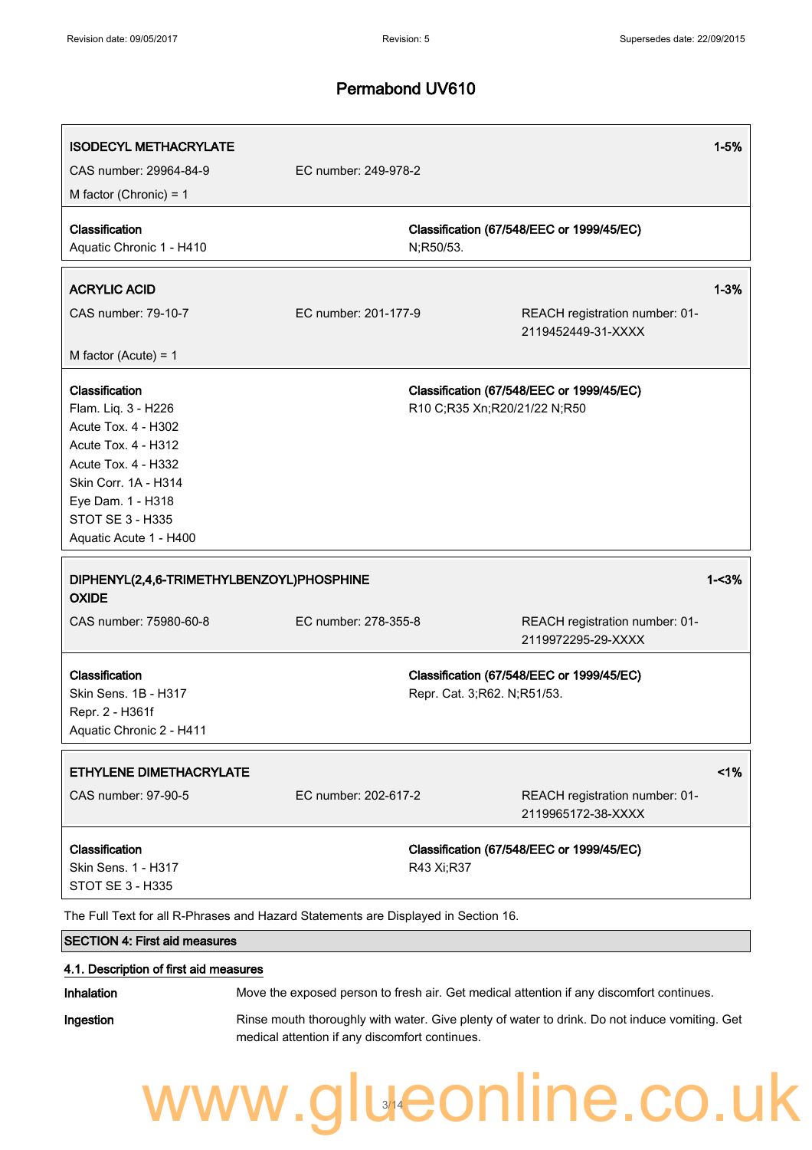| <b>ISODECYL METHACRYLATE</b><br>CAS number: 29964-84-9                                                                                                                                                       | EC number: 249-978-2 |                              |                                                      | $1 - 5%$ |
|--------------------------------------------------------------------------------------------------------------------------------------------------------------------------------------------------------------|----------------------|------------------------------|------------------------------------------------------|----------|
| M factor (Chronic) = $1$                                                                                                                                                                                     |                      |                              |                                                      |          |
| Classification<br>Aquatic Chronic 1 - H410                                                                                                                                                                   |                      | N;R50/53.                    | Classification (67/548/EEC or 1999/45/EC)            |          |
| <b>ACRYLIC ACID</b>                                                                                                                                                                                          |                      |                              |                                                      | $1 - 3%$ |
| CAS number: 79-10-7                                                                                                                                                                                          | EC number: 201-177-9 |                              | REACH registration number: 01-<br>2119452449-31-XXXX |          |
| M factor (Acute) = $1$                                                                                                                                                                                       |                      |                              |                                                      |          |
| Classification<br>Flam. Liq. 3 - H226<br>Acute Tox. 4 - H302<br>Acute Tox. 4 - H312<br>Acute Tox. 4 - H332<br>Skin Corr. 1A - H314<br>Eye Dam. 1 - H318<br><b>STOT SE 3 - H335</b><br>Aquatic Acute 1 - H400 |                      | R10 C;R35 Xn;R20/21/22 N;R50 | Classification (67/548/EEC or 1999/45/EC)            |          |
|                                                                                                                                                                                                              |                      |                              |                                                      |          |
| DIPHENYL(2,4,6-TRIMETHYLBENZOYL)PHOSPHINE<br><b>OXIDE</b>                                                                                                                                                    |                      |                              |                                                      | $1 - 3%$ |
| CAS number: 75980-60-8                                                                                                                                                                                       | EC number: 278-355-8 |                              | REACH registration number: 01-<br>2119972295-29-XXXX |          |
| Classification<br>Skin Sens. 1B - H317<br>Repr. 2 - H361f<br>Aquatic Chronic 2 - H411                                                                                                                        |                      | Repr. Cat. 3;R62. N;R51/53.  | Classification (67/548/EEC or 1999/45/EC)            |          |
| ETHYLENE DIMETHACRYLATE                                                                                                                                                                                      |                      |                              |                                                      | 1%       |
| CAS number: 97-90-5                                                                                                                                                                                          | EC number: 202-617-2 |                              | REACH registration number: 01-<br>2119965172-38-XXXX |          |
| Classification<br>Skin Sens. 1 - H317<br>STOT SE 3 - H335                                                                                                                                                    |                      | R43 Xi;R37                   | Classification (67/548/EEC or 1999/45/EC)            |          |
| The Full Text for all R-Phrases and Hazard Statements are Displayed in Section 16.                                                                                                                           |                      |                              |                                                      |          |
| <b>SECTION 4: First aid measures</b>                                                                                                                                                                         |                      |                              |                                                      |          |

Inhalation Move the exposed person to fresh air. Get medical attention if any discomfort continues.

Ingestion **Rinse mouth thoroughly with water. Give plenty of water to drink. Do not induce vomiting. Get** medical attention if any discomfort continues.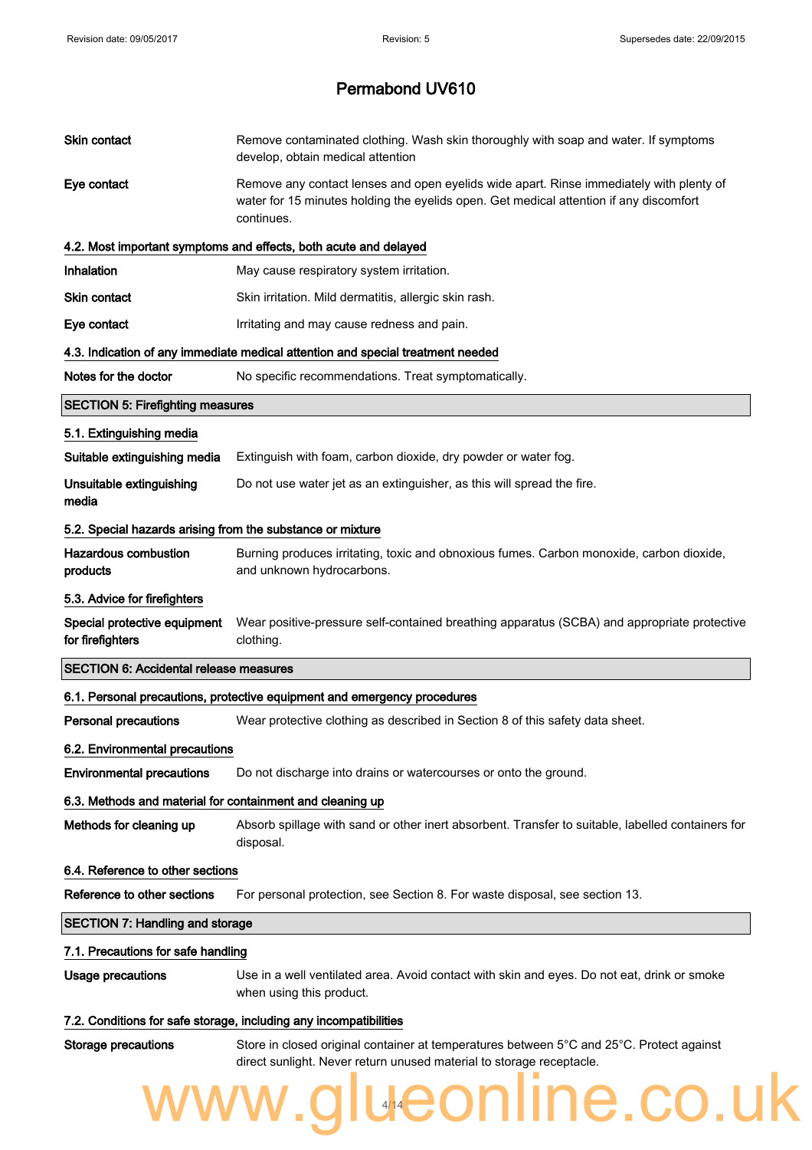| Skin contact                                               | Remove contaminated clothing. Wash skin thoroughly with soap and water. If symptoms<br>develop, obtain medical attention                                                                        |
|------------------------------------------------------------|-------------------------------------------------------------------------------------------------------------------------------------------------------------------------------------------------|
| Eye contact                                                | Remove any contact lenses and open eyelids wide apart. Rinse immediately with plenty of<br>water for 15 minutes holding the eyelids open. Get medical attention if any discomfort<br>continues. |
|                                                            | 4.2. Most important symptoms and effects, both acute and delayed                                                                                                                                |
| Inhalation                                                 | May cause respiratory system irritation.                                                                                                                                                        |
| Skin contact                                               | Skin irritation. Mild dermatitis, allergic skin rash.                                                                                                                                           |
| Eye contact                                                | Irritating and may cause redness and pain.                                                                                                                                                      |
|                                                            | 4.3. Indication of any immediate medical attention and special treatment needed                                                                                                                 |
| Notes for the doctor                                       | No specific recommendations. Treat symptomatically.                                                                                                                                             |
| <b>SECTION 5: Firefighting measures</b>                    |                                                                                                                                                                                                 |
| 5.1. Extinguishing media                                   |                                                                                                                                                                                                 |
| Suitable extinguishing media                               | Extinguish with foam, carbon dioxide, dry powder or water fog.                                                                                                                                  |
| Unsuitable extinguishing<br>media                          | Do not use water jet as an extinguisher, as this will spread the fire.                                                                                                                          |
| 5.2. Special hazards arising from the substance or mixture |                                                                                                                                                                                                 |
| <b>Hazardous combustion</b><br>products                    | Burning produces irritating, toxic and obnoxious fumes. Carbon monoxide, carbon dioxide,<br>and unknown hydrocarbons.                                                                           |
| 5.3. Advice for firefighters                               |                                                                                                                                                                                                 |
| Special protective equipment<br>for firefighters           | Wear positive-pressure self-contained breathing apparatus (SCBA) and appropriate protective<br>clothing.                                                                                        |
| <b>SECTION 6: Accidental release measures</b>              |                                                                                                                                                                                                 |
|                                                            | 6.1. Personal precautions, protective equipment and emergency procedures                                                                                                                        |
| <b>Personal precautions</b>                                | Wear protective clothing as described in Section 8 of this safety data sheet.                                                                                                                   |
| 6.2. Environmental precautions                             |                                                                                                                                                                                                 |
| <b>Environmental precautions</b>                           | Do not discharge into drains or watercourses or onto the ground.                                                                                                                                |
| 6.3. Methods and material for containment and cleaning up  |                                                                                                                                                                                                 |
| Methods for cleaning up                                    | Absorb spillage with sand or other inert absorbent. Transfer to suitable, labelled containers for<br>disposal.                                                                                  |
| 6.4. Reference to other sections                           |                                                                                                                                                                                                 |
| Reference to other sections                                | For personal protection, see Section 8. For waste disposal, see section 13.                                                                                                                     |
| <b>SECTION 7: Handling and storage</b>                     |                                                                                                                                                                                                 |
| 7.1. Precautions for safe handling                         |                                                                                                                                                                                                 |
| <b>Usage precautions</b>                                   | Use in a well ventilated area. Avoid contact with skin and eyes. Do not eat, drink or smoke<br>when using this product.                                                                         |
|                                                            | 7.2. Conditions for safe storage, including any incompatibilities                                                                                                                               |
| <b>Storage precautions</b>                                 | Store in closed original container at temperatures between 5°C and 25°C. Protect against<br>direct sunlight. Never return unused material to storage receptacle.                                |
|                                                            | ww.glueonline.co.uk                                                                                                                                                                             |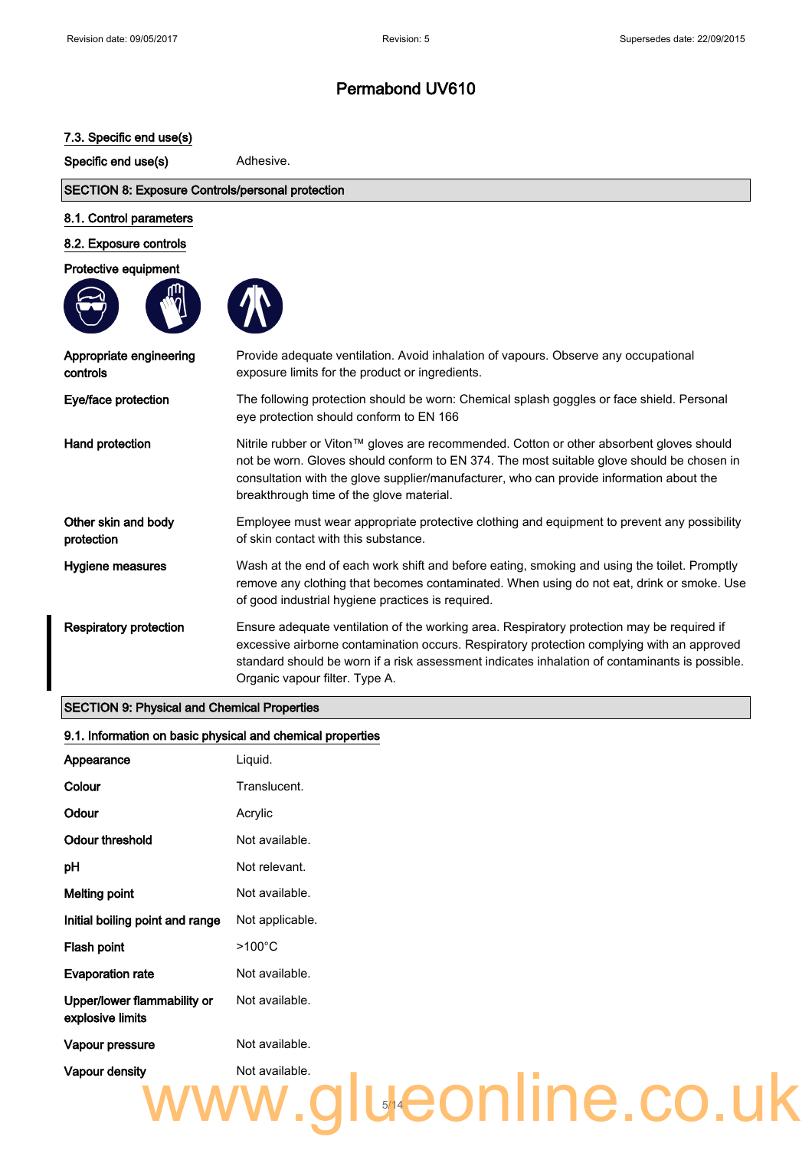#### 7.3. Specific end use(s)

Specific end use(s) **Adhesive.** 

#### SECTION 8: Exposure Controls/personal protection

#### 8.1. Control parameters

#### 8.2. Exposure controls

Protective equipment





| Appropriate engineering<br>controls | Provide adequate ventilation. Avoid inhalation of vapours. Observe any occupational<br>exposure limits for the product or ingredients.                                                                                                                                                                                        |
|-------------------------------------|-------------------------------------------------------------------------------------------------------------------------------------------------------------------------------------------------------------------------------------------------------------------------------------------------------------------------------|
| Eye/face protection                 | The following protection should be worn: Chemical splash goggles or face shield. Personal<br>eye protection should conform to EN 166                                                                                                                                                                                          |
| Hand protection                     | Nitrile rubber or Viton™ gloves are recommended. Cotton or other absorbent gloves should<br>not be worn. Gloves should conform to EN 374. The most suitable glove should be chosen in<br>consultation with the glove supplier/manufacturer, who can provide information about the<br>breakthrough time of the glove material. |
| Other skin and body<br>protection   | Employee must wear appropriate protective clothing and equipment to prevent any possibility<br>of skin contact with this substance.                                                                                                                                                                                           |
| Hygiene measures                    | Wash at the end of each work shift and before eating, smoking and using the toilet. Promptly<br>remove any clothing that becomes contaminated. When using do not eat, drink or smoke. Use<br>of good industrial hygiene practices is required.                                                                                |
| <b>Respiratory protection</b>       | Ensure adequate ventilation of the working area. Respiratory protection may be required if<br>excessive airborne contamination occurs. Respiratory protection complying with an approved<br>standard should be worn if a risk assessment indicates inhalation of contaminants is possible.<br>Organic vapour filter. Type A.  |

#### SECTION 9: Physical and Chemical Properties

#### 9.1. Information on basic physical and chemical properties

| Appearance                                      | Liquid.                            |
|-------------------------------------------------|------------------------------------|
| Colour                                          | Translucent.                       |
| Odour                                           | Acrylic                            |
| Odour threshold                                 | Not available.                     |
| рH                                              | Not relevant.                      |
| <b>Melting point</b>                            | Not available.                     |
| Initial boiling point and range                 | Not applicable.                    |
| Flash point                                     | $>100^{\circ}$ C                   |
| <b>Evaporation rate</b>                         | Not available.                     |
| Upper/lower flammability or<br>explosive limits | Not available.                     |
| Vapour pressure                                 | Not available.                     |
| Vapour density                                  | Not available.<br>alueonline.co.uk |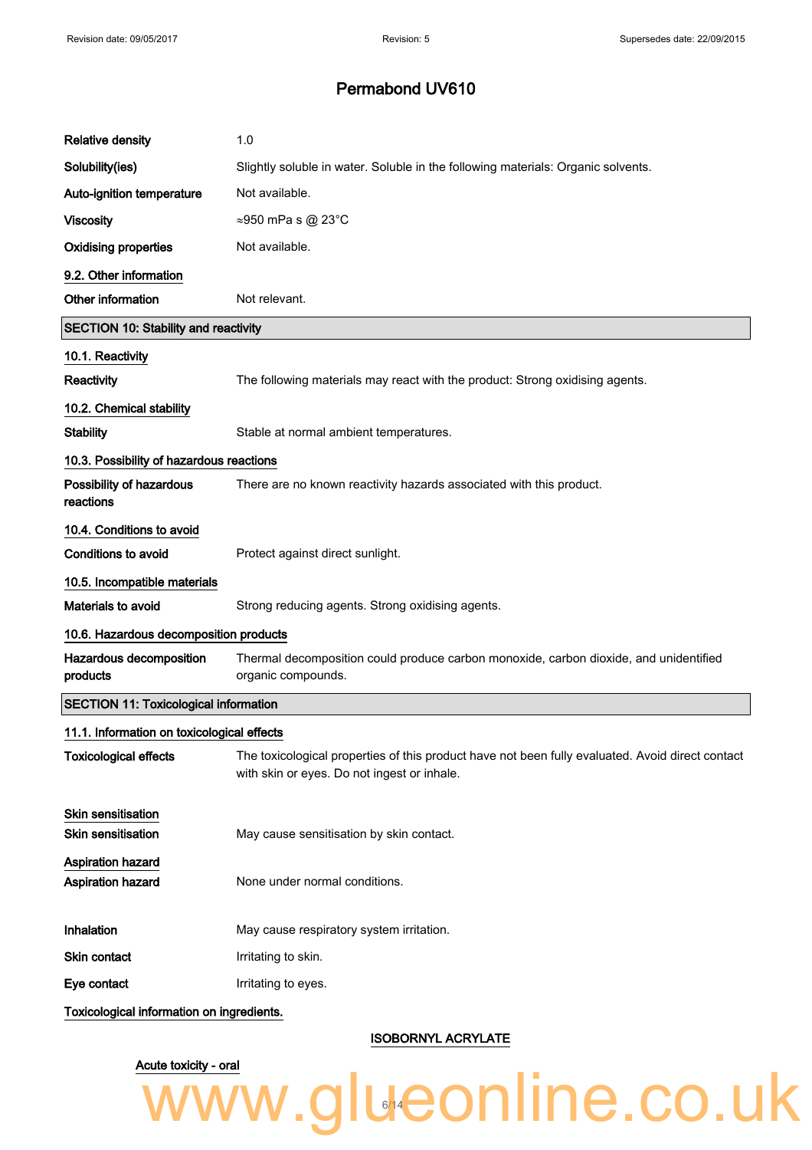| <b>Relative density</b>                      | 1.0                                                                                                                                             |
|----------------------------------------------|-------------------------------------------------------------------------------------------------------------------------------------------------|
| Solubility(ies)                              | Slightly soluble in water. Soluble in the following materials: Organic solvents.                                                                |
| Auto-ignition temperature                    | Not available.                                                                                                                                  |
| <b>Viscosity</b>                             | ≈950 mPa s @ 23°C                                                                                                                               |
| <b>Oxidising properties</b>                  | Not available.                                                                                                                                  |
| 9.2. Other information                       |                                                                                                                                                 |
| Other information                            | Not relevant.                                                                                                                                   |
| <b>SECTION 10: Stability and reactivity</b>  |                                                                                                                                                 |
| 10.1. Reactivity                             |                                                                                                                                                 |
| Reactivity                                   | The following materials may react with the product: Strong oxidising agents.                                                                    |
| 10.2. Chemical stability                     |                                                                                                                                                 |
| <b>Stability</b>                             | Stable at normal ambient temperatures.                                                                                                          |
| 10.3. Possibility of hazardous reactions     |                                                                                                                                                 |
| Possibility of hazardous<br>reactions        | There are no known reactivity hazards associated with this product.                                                                             |
| 10.4. Conditions to avoid                    |                                                                                                                                                 |
| <b>Conditions to avoid</b>                   | Protect against direct sunlight.                                                                                                                |
| 10.5. Incompatible materials                 |                                                                                                                                                 |
| <b>Materials to avoid</b>                    | Strong reducing agents. Strong oxidising agents.                                                                                                |
| 10.6. Hazardous decomposition products       |                                                                                                                                                 |
| Hazardous decomposition<br>products          | Thermal decomposition could produce carbon monoxide, carbon dioxide, and unidentified<br>organic compounds.                                     |
| <b>SECTION 11: Toxicological information</b> |                                                                                                                                                 |
| 11.1. Information on toxicological effects   |                                                                                                                                                 |
| <b>Toxicological effects</b>                 | The toxicological properties of this product have not been fully evaluated. Avoid direct contact<br>with skin or eyes. Do not ingest or inhale. |
| Skin sensitisation                           |                                                                                                                                                 |
| <b>Skin sensitisation</b>                    | May cause sensitisation by skin contact.                                                                                                        |
| <b>Aspiration hazard</b>                     |                                                                                                                                                 |
| <b>Aspiration hazard</b>                     | None under normal conditions.                                                                                                                   |
| Inhalation                                   | May cause respiratory system irritation.                                                                                                        |
| Skin contact                                 | Irritating to skin.                                                                                                                             |
| Eye contact                                  | Irritating to eyes.                                                                                                                             |
| Toxicological information on ingredients.    |                                                                                                                                                 |

ISOBORNYL ACRYLATE

## Acute toxicity - oral www.glueonline.co.uk 14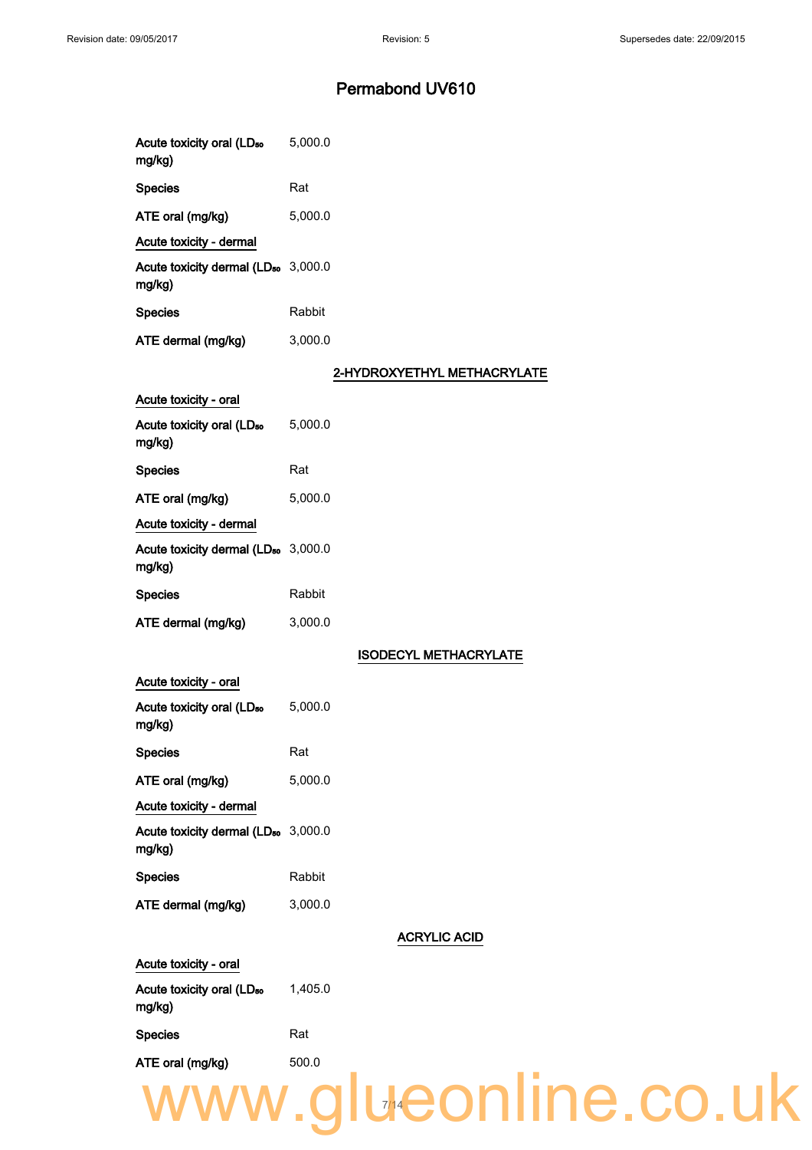| Acute toxicity oral (LD <sub>50</sub><br>mg/kg)           | 5,000.0                      |
|-----------------------------------------------------------|------------------------------|
| <b>Species</b>                                            | Rat                          |
| ATE oral (mg/kg)                                          | 5,000.0                      |
| Acute toxicity - dermal                                   |                              |
| Acute toxicity dermal (LD <sub>50</sub> 3,000.0<br>mg/kg) |                              |
| <b>Species</b>                                            | Rabbit                       |
| ATE dermal (mg/kg)                                        | 3,000.0                      |
|                                                           | 2-HYDROXYETHYL METHACRYLATE  |
| Acute toxicity - oral                                     |                              |
| Acute toxicity oral (LD <sub>50</sub><br>mg/kg)           | 5,000.0                      |
| <b>Species</b>                                            | Rat                          |
| ATE oral (mg/kg)                                          | 5,000.0                      |
| Acute toxicity - dermal                                   |                              |
| Acute toxicity dermal (LD <sub>50</sub> 3,000.0<br>mg/kg) |                              |
| <b>Species</b>                                            | Rabbit                       |
| ATE dermal (mg/kg)                                        | 3,000.0                      |
|                                                           | <b>ISODECYL METHACRYLATE</b> |
| Acute toxicity - oral                                     |                              |
| Acute toxicity oral (LD <sub>50</sub><br>mg/kg)           | 5,000.0                      |
| <b>Species</b>                                            | Rat                          |
| ATE oral (mg/kg)                                          | 5,000.0                      |
| Acute toxicity - dermal                                   |                              |
| Acute toxicity dermal (LD <sub>50</sub> 3,000.0<br>mg/kg) |                              |
| <b>Species</b>                                            | Rabbit                       |
| ATE dermal (mg/kg)                                        | 3,000.0                      |
|                                                           | <b>ACRYLIC ACID</b>          |
| Acute toxicity - oral                                     |                              |
| Acute toxicity oral (LD <sub>50</sub><br>mg/kg)           | 1,405.0                      |
| <b>Species</b>                                            | Rat                          |
| ATE oral (mg/kg)                                          | 500.0                        |
|                                                           | www.glueonline.co.uk         |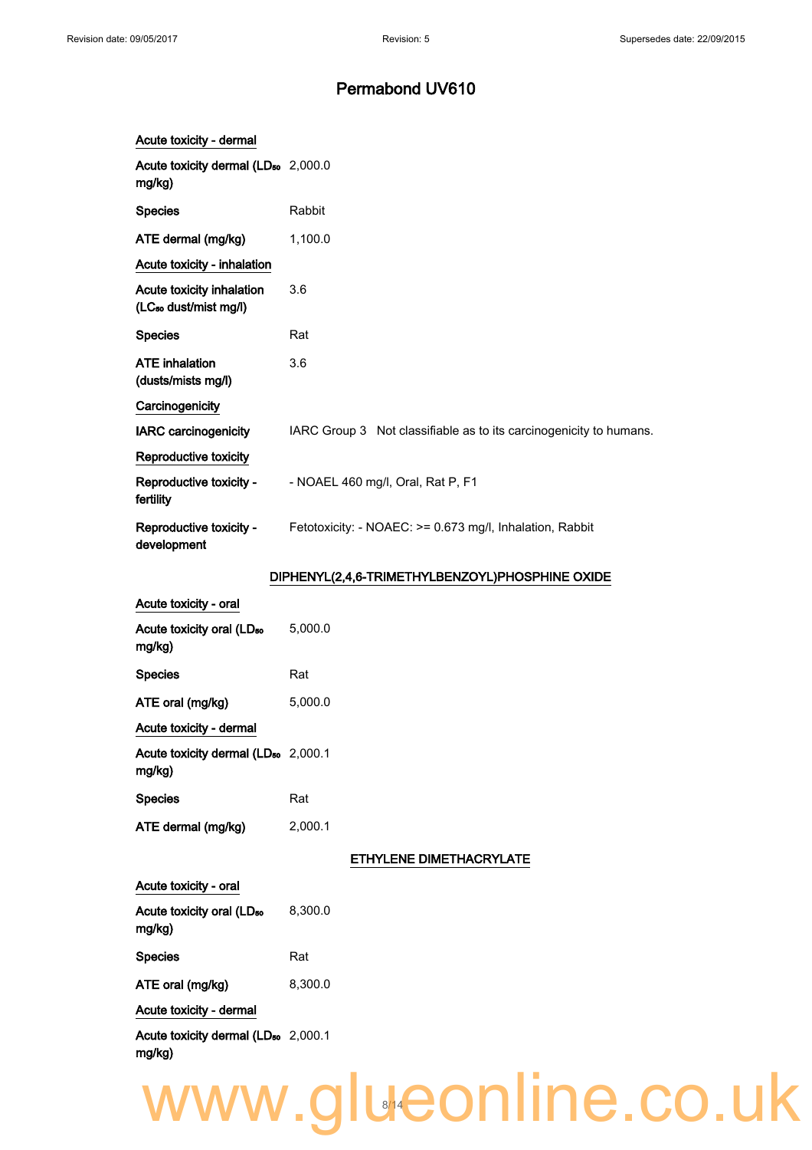| Acute toxicity - dermal                                        |                                                                    |
|----------------------------------------------------------------|--------------------------------------------------------------------|
| Acute toxicity dermal (LD <sub>50</sub> 2,000.0<br>mg/kg)      |                                                                    |
| <b>Species</b>                                                 | Rabbit                                                             |
| ATE dermal (mg/kg)                                             | 1,100.0                                                            |
| Acute toxicity - inhalation                                    |                                                                    |
| Acute toxicity inhalation<br>(LC <sub>50</sub> dust/mist mg/l) | 3.6                                                                |
| <b>Species</b>                                                 | Rat                                                                |
| <b>ATE</b> inhalation<br>(dusts/mists mg/l)                    | 3.6                                                                |
| Carcinogenicity                                                |                                                                    |
| <b>IARC</b> carcinogenicity                                    | IARC Group 3 Not classifiable as to its carcinogenicity to humans. |
| Reproductive toxicity                                          |                                                                    |
| Reproductive toxicity -<br>fertility                           | - NOAEL 460 mg/l, Oral, Rat P, F1                                  |
| Reproductive toxicity -<br>development                         | Fetotoxicity: - NOAEC: >= 0.673 mg/l, Inhalation, Rabbit           |
|                                                                | DIPHENYL(2,4,6-TRIMETHYLBENZOYL)PHOSPHINE OXIDE                    |
| Acute toxicity - oral                                          |                                                                    |
| Acute toxicity oral (LD <sub>50</sub><br>mg/kg)                | 5,000.0                                                            |
| <b>Species</b>                                                 | Rat                                                                |
| ATE oral (mg/kg)                                               | 5,000.0                                                            |
| Acute toxicity - dermal                                        |                                                                    |
| Acute toxicity dermal (LD <sub>50</sub> 2,000.1<br>mg/kg)      |                                                                    |
| <b>Species</b>                                                 | Rat                                                                |
| ATE dermal (mg/kg)                                             | 2,000.1                                                            |
|                                                                | ETHYLENE DIMETHACRYLATE                                            |
| Acute toxicity - oral                                          |                                                                    |
| Acute toxicity oral (LD <sub>50</sub><br>mg/kg)                | 8,300.0                                                            |
| <b>Species</b>                                                 | Rat                                                                |
| ATE oral (mg/kg)                                               | 8,300.0                                                            |
| Acute toxicity - dermal                                        |                                                                    |
| Acute toxicity dermal (LD <sub>50</sub> 2,000.1<br>mg/kg)      |                                                                    |
|                                                                | www.glueonline.co.uk                                               |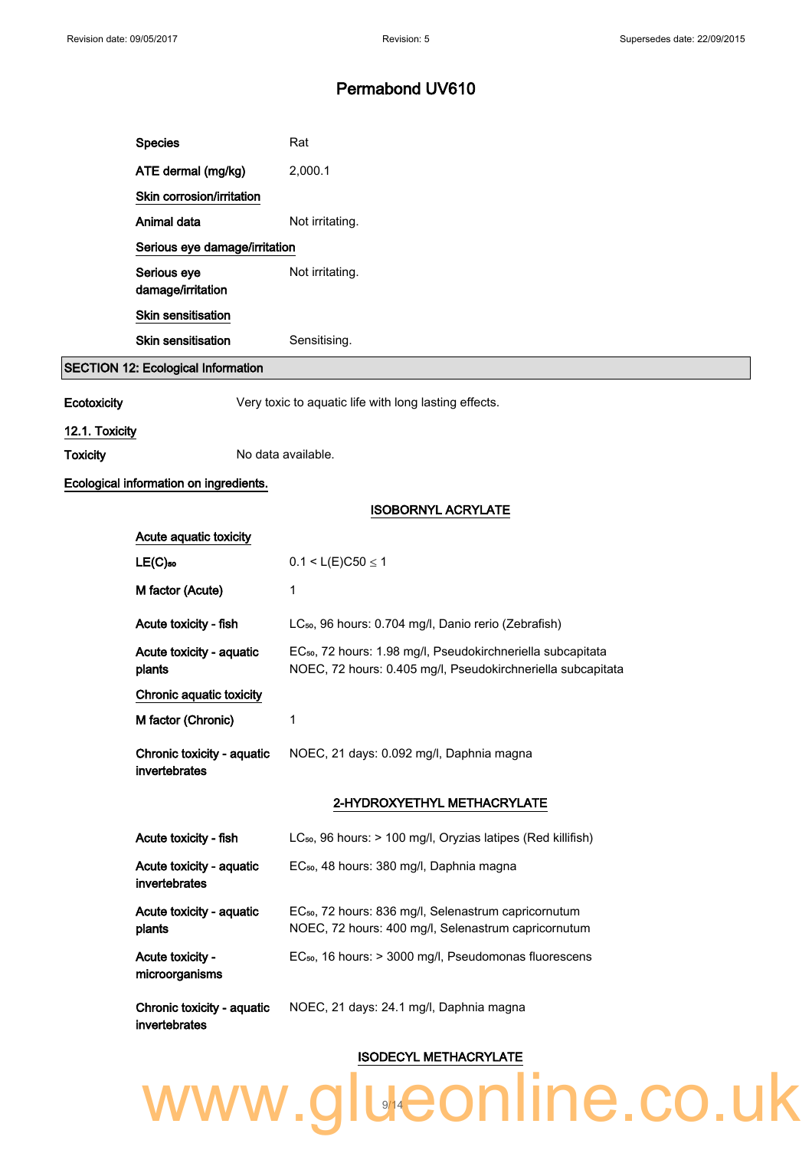| <b>Species</b>                            | Rat             |
|-------------------------------------------|-----------------|
| ATE dermal (mg/kg)                        | 2,000.1         |
| Skin corrosion/irritation                 |                 |
| Animal data                               | Not irritating. |
| Serious eye damage/irritation             |                 |
| Serious eye<br>damage/irritation          | Not irritating. |
| <b>Skin sensitisation</b>                 |                 |
| Skin sensitisation                        | Sensitising.    |
| <b>SECTION 12: Ecological Information</b> |                 |

Ecotoxicity **Ecotoxicity** Very toxic to aquatic life with long lasting effects.

#### 12.1. Toxicity

Toxicity No data available.

#### Ecological information on ingredients.

#### ISOBORNYL ACRYLATE

#### ISODECYL METHACRYLATE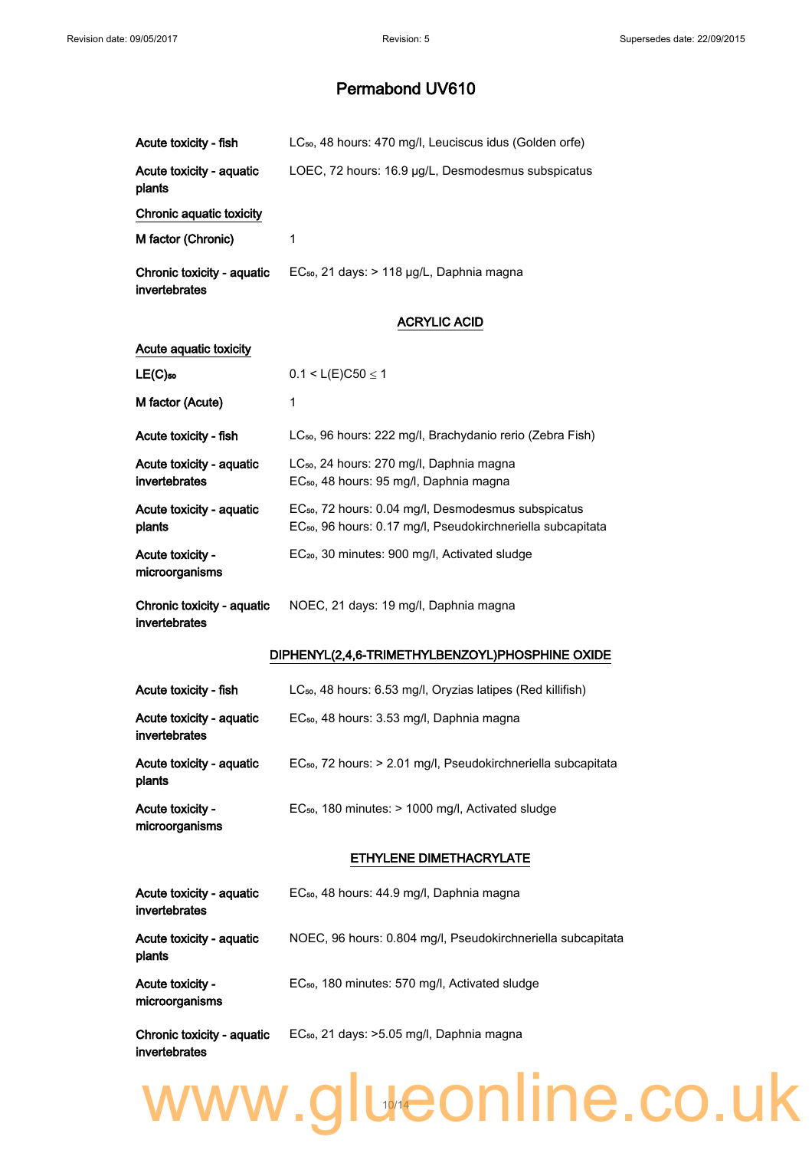| Acute toxicity - fish                       | LC <sub>50</sub> , 48 hours: 470 mg/l, Leuciscus idus (Golden orfe)                                                                        |
|---------------------------------------------|--------------------------------------------------------------------------------------------------------------------------------------------|
| Acute toxicity - aquatic<br>plants          | LOEC, 72 hours: 16.9 µg/L, Desmodesmus subspicatus                                                                                         |
| Chronic aquatic toxicity                    |                                                                                                                                            |
| M factor (Chronic)                          | 1                                                                                                                                          |
| Chronic toxicity - aquatic<br>invertebrates | EC <sub>50</sub> , 21 days: > 118 µg/L, Daphnia magna                                                                                      |
|                                             | <b>ACRYLIC ACID</b>                                                                                                                        |
| Acute aquatic toxicity                      |                                                                                                                                            |
| $LE(C)$ 50                                  | $0.1 < L(E)C50 \le 1$                                                                                                                      |
| M factor (Acute)                            | 1                                                                                                                                          |
| Acute toxicity - fish                       | LC <sub>50</sub> , 96 hours: 222 mg/l, Brachydanio rerio (Zebra Fish)                                                                      |
| Acute toxicity - aquatic<br>invertebrates   | LC <sub>50</sub> , 24 hours: 270 mg/l, Daphnia magna<br>EC <sub>50</sub> , 48 hours: 95 mg/l, Daphnia magna                                |
| Acute toxicity - aquatic<br>plants          | EC <sub>50</sub> , 72 hours: 0.04 mg/l, Desmodesmus subspicatus<br>EC <sub>50</sub> , 96 hours: 0.17 mg/l, Pseudokirchneriella subcapitata |
| Acute toxicity -<br>microorganisms          | EC <sub>20</sub> , 30 minutes: 900 mg/l, Activated sludge                                                                                  |
| Chronic toxicity - aquatic<br>invertebrates | NOEC, 21 days: 19 mg/l, Daphnia magna                                                                                                      |
|                                             | DIPHENYL(2,4,6-TRIMETHYLBENZOYL)PHOSPHINE OXIDE                                                                                            |
| Acute toxicity - fish                       | LC <sub>50</sub> , 48 hours: 6.53 mg/l, Oryzias latipes (Red killifish)                                                                    |
| Acute toxicity - aquatic<br>invertebrates   | EC <sub>50</sub> , 48 hours: 3.53 mg/l, Daphnia magna                                                                                      |
| Acute toxicity - aquatic<br>plants          | EC <sub>50</sub> , 72 hours: > 2.01 mg/l, Pseudokirchneriella subcapitata                                                                  |
| Acute toxicity -<br>microorganisms          | EC <sub>50</sub> , 180 minutes: > 1000 mg/l, Activated sludge                                                                              |
|                                             | ETHYLENE DIMETHACRYLATE                                                                                                                    |
| Acute toxicity - aquatic<br>invertebrates   | EC <sub>50</sub> , 48 hours: 44.9 mg/l, Daphnia magna                                                                                      |
| Acute toxicity - aquatic<br>plants          | NOEC, 96 hours: 0.804 mg/l, Pseudokirchneriella subcapitata                                                                                |
| Acute toxicity -<br>microorganisms          | EC <sub>50</sub> , 180 minutes: 570 mg/l, Activated sludge                                                                                 |
| Chronic toxicity - aquatic<br>invertebrates | EC <sub>50</sub> , 21 days: >5.05 mg/l, Daphnia magna                                                                                      |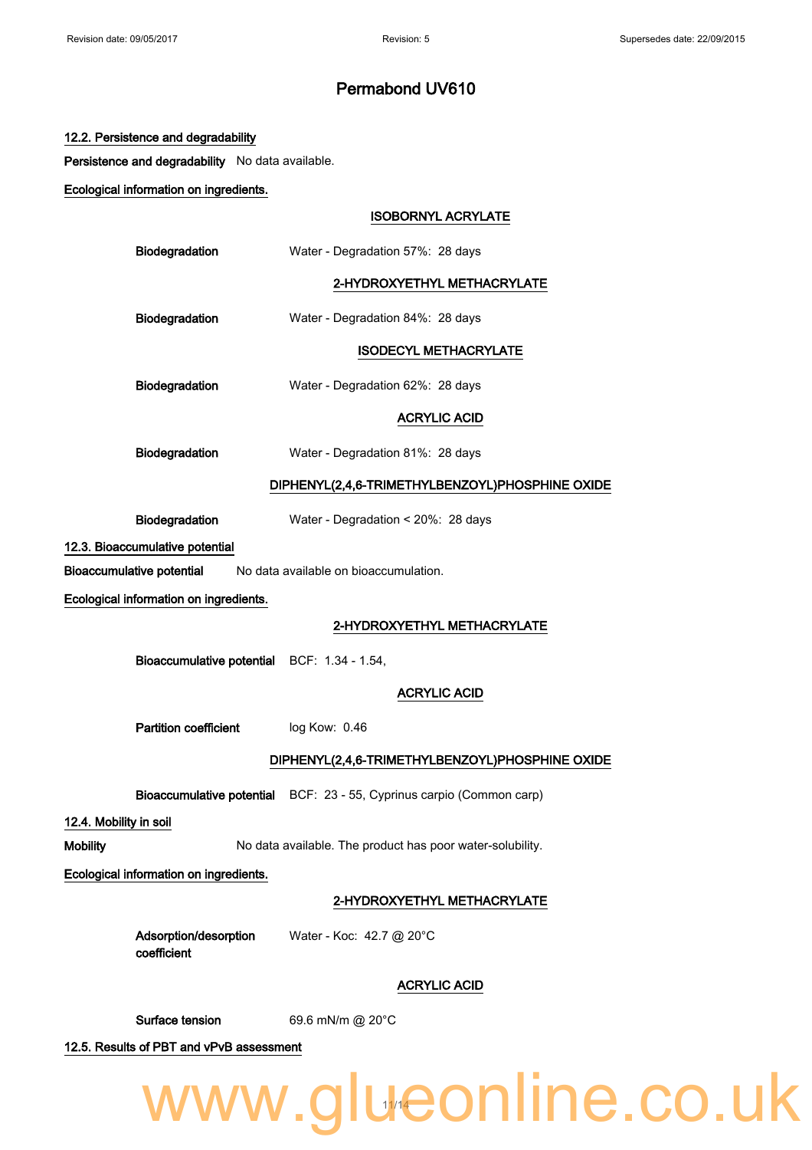|                        | 12.2. Persistence and degradability              |                                                                       |
|------------------------|--------------------------------------------------|-----------------------------------------------------------------------|
|                        | Persistence and degradability No data available. |                                                                       |
|                        | Ecological information on ingredients.           |                                                                       |
|                        |                                                  | <b>ISOBORNYL ACRYLATE</b>                                             |
|                        | Biodegradation                                   | Water - Degradation 57%: 28 days                                      |
|                        |                                                  | 2-HYDROXYETHYL METHACRYLATE                                           |
|                        | Biodegradation                                   | Water - Degradation 84%: 28 days                                      |
|                        |                                                  | <b>ISODECYL METHACRYLATE</b>                                          |
|                        | Biodegradation                                   | Water - Degradation 62%: 28 days                                      |
|                        |                                                  | <b>ACRYLIC ACID</b>                                                   |
|                        | Biodegradation                                   | Water - Degradation 81%: 28 days                                      |
|                        |                                                  | DIPHENYL(2,4,6-TRIMETHYLBENZOYL)PHOSPHINE OXIDE                       |
|                        | Biodegradation                                   | Water - Degradation < 20%: 28 days                                    |
|                        | 12.3. Bioaccumulative potential                  |                                                                       |
|                        | <b>Bioaccumulative potential</b>                 | No data available on bioaccumulation.                                 |
|                        | Ecological information on ingredients.           |                                                                       |
|                        |                                                  | 2-HYDROXYETHYL METHACRYLATE                                           |
|                        | Bioaccumulative potential BCF: 1.34 - 1.54,      |                                                                       |
|                        |                                                  | <b>ACRYLIC ACID</b>                                                   |
|                        | <b>Partition coefficient</b>                     | log Kow: 0.46                                                         |
|                        |                                                  | DIPHENYL(2,4,6-TRIMETHYLBENZOYL)PHOSPHINE OXIDE                       |
|                        |                                                  | Bioaccumulative potential BCF: 23 - 55, Cyprinus carpio (Common carp) |
| 12.4. Mobility in soil |                                                  |                                                                       |
| <b>Mobility</b>        |                                                  | No data available. The product has poor water-solubility.             |
|                        | Ecological information on ingredients.           |                                                                       |
|                        |                                                  | 2-HYDROXYETHYL METHACRYLATE                                           |
|                        | Adsorption/desorption<br>coefficient             | Water - Koc: 42.7 @ 20°C                                              |
|                        |                                                  | <b>ACRYLIC ACID</b>                                                   |
|                        | Surface tension                                  | 69.6 mN/m @ 20°C                                                      |
|                        | 12.5. Results of PBT and vPvB assessment         |                                                                       |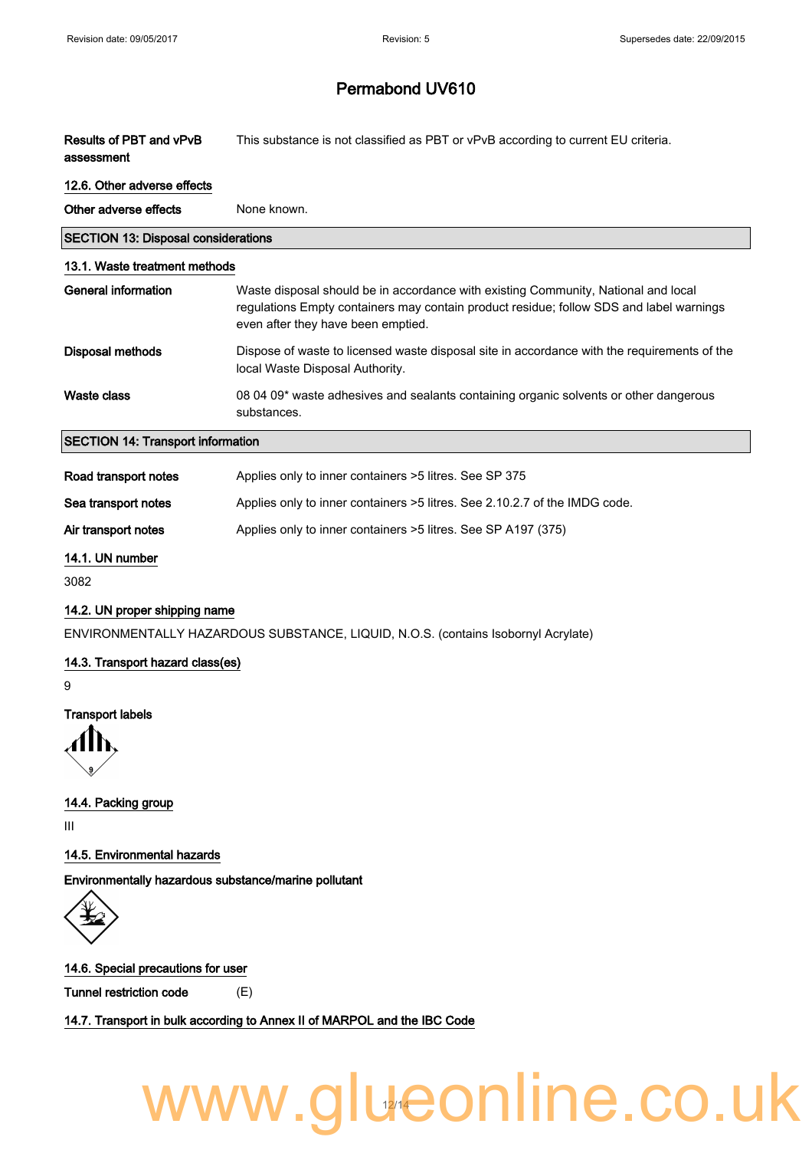| Results of PBT and vPvB | This substance is not classified as PBT or vPvB according to current EU criteria. |
|-------------------------|-----------------------------------------------------------------------------------|
| assessment              |                                                                                   |

#### 12.6. Other adverse effects

| Other adverse effects                      | None known.                                                                                                                                                                                                         |
|--------------------------------------------|---------------------------------------------------------------------------------------------------------------------------------------------------------------------------------------------------------------------|
| <b>SECTION 13: Disposal considerations</b> |                                                                                                                                                                                                                     |
| 13.1. Waste treatment methods              |                                                                                                                                                                                                                     |
| General information                        | Waste disposal should be in accordance with existing Community, National and local<br>regulations Empty containers may contain product residue; follow SDS and label warnings<br>even after they have been emptied. |
| Disposal methods                           | Dispose of waste to licensed waste disposal site in accordance with the requirements of the<br>local Waste Disposal Authority.                                                                                      |
| Waste class                                | 08 04 09* waste adhesives and sealants containing organic solvents or other dangerous<br>substances.                                                                                                                |
| <b>SECTION 14: Transport information</b>   |                                                                                                                                                                                                                     |
|                                            |                                                                                                                                                                                                                     |

| Road transport notes | Applies only to inner containers >5 litres. See SP 375                     |
|----------------------|----------------------------------------------------------------------------|
| Sea transport notes  | Applies only to inner containers >5 litres. See 2.10.2.7 of the IMDG code. |
| Air transport notes  | Applies only to inner containers > 5 litres. See SP A197 (375)             |

#### 14.1. UN number

3082

#### 14.2. UN proper shipping name

ENVIRONMENTALLY HAZARDOUS SUBSTANCE, LIQUID, N.O.S. (contains Isobornyl Acrylate)

#### 14.3. Transport hazard class(es)

9

#### Transport labels

14.4. Packing group

III

#### 14.5. Environmental hazards

Environmentally hazardous substance/marine pollutant



#### 14.6. Special precautions for user

Tunnel restriction code (E)

14.7. Transport in bulk according to Annex II of MARPOL and the IBC Code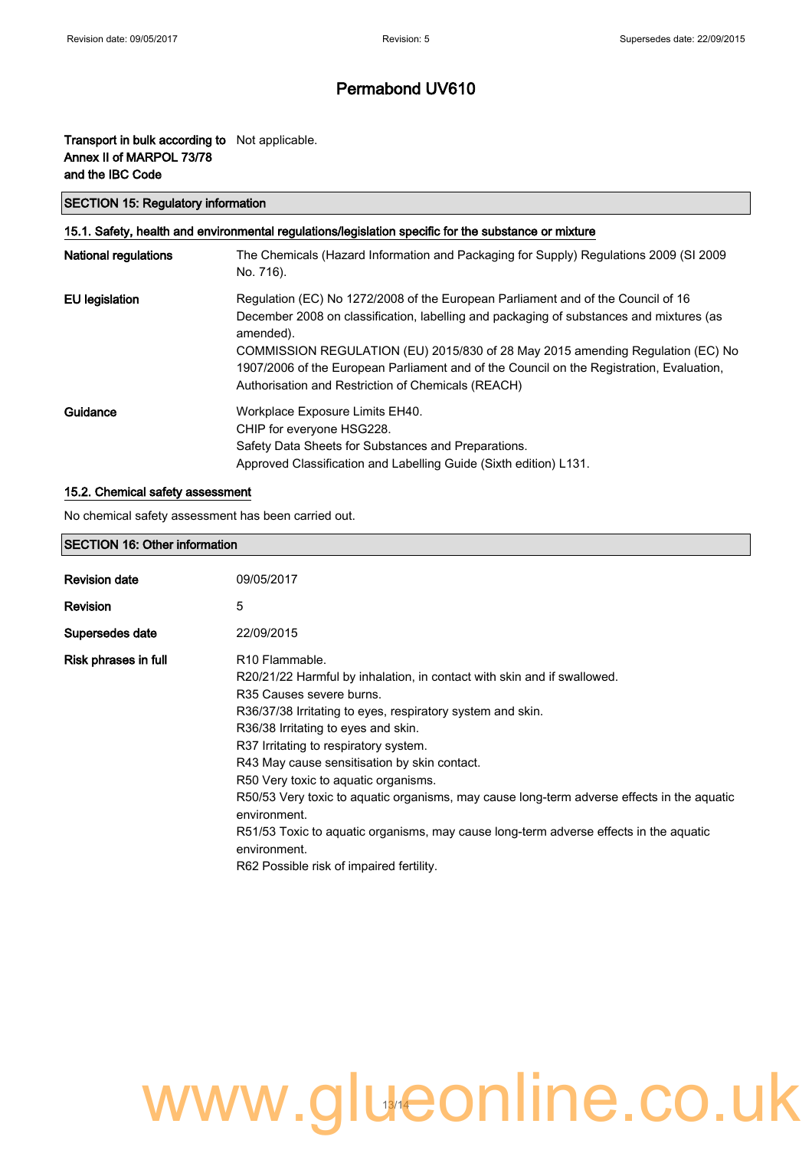#### Transport in bulk according to Not applicable. Annex II of MARPOL 73/78 and the IBC Code

#### SECTION 15: Regulatory information

| 15.1. Safety, health and environmental regulations/legislation specific for the substance or mixture |                                                                                                                                                                                                                                                                                                                                                                                                                              |
|------------------------------------------------------------------------------------------------------|------------------------------------------------------------------------------------------------------------------------------------------------------------------------------------------------------------------------------------------------------------------------------------------------------------------------------------------------------------------------------------------------------------------------------|
| <b>National regulations</b>                                                                          | The Chemicals (Hazard Information and Packaging for Supply) Regulations 2009 (SI 2009<br>No. 716).                                                                                                                                                                                                                                                                                                                           |
| EU legislation                                                                                       | Regulation (EC) No 1272/2008 of the European Parliament and of the Council of 16<br>December 2008 on classification, labelling and packaging of substances and mixtures (as<br>amended).<br>COMMISSION REGULATION (EU) 2015/830 of 28 May 2015 amending Regulation (EC) No<br>1907/2006 of the European Parliament and of the Council on the Registration, Evaluation,<br>Authorisation and Restriction of Chemicals (REACH) |
| Guidance                                                                                             | Workplace Exposure Limits EH40.<br>CHIP for everyone HSG228.<br>Safety Data Sheets for Substances and Preparations.<br>Approved Classification and Labelling Guide (Sixth edition) L131.                                                                                                                                                                                                                                     |

#### 15.2. Chemical safety assessment

No chemical safety assessment has been carried out.

#### SECTION 16: Other information

| <b>Revision date</b> | 09/05/2017                                                                                                                                                                                                                                                                                                                                                                                                                                                                                                                                                                                                                                             |
|----------------------|--------------------------------------------------------------------------------------------------------------------------------------------------------------------------------------------------------------------------------------------------------------------------------------------------------------------------------------------------------------------------------------------------------------------------------------------------------------------------------------------------------------------------------------------------------------------------------------------------------------------------------------------------------|
| <b>Revision</b>      | 5                                                                                                                                                                                                                                                                                                                                                                                                                                                                                                                                                                                                                                                      |
| Supersedes date      | 22/09/2015                                                                                                                                                                                                                                                                                                                                                                                                                                                                                                                                                                                                                                             |
| Risk phrases in full | R <sub>10</sub> Flammable.<br>R20/21/22 Harmful by inhalation, in contact with skin and if swallowed.<br>R <sub>35</sub> Causes severe burns.<br>R36/37/38 Irritating to eyes, respiratory system and skin.<br>R36/38 Irritating to eyes and skin.<br>R37 Irritating to respiratory system.<br>R43 May cause sensitisation by skin contact.<br>R50 Very toxic to aquatic organisms.<br>R50/53 Very toxic to aguatic organisms, may cause long-term adverse effects in the aguatic<br>environment.<br>R51/53 Toxic to aguatic organisms, may cause long-term adverse effects in the aguatic<br>environment.<br>R62 Possible risk of impaired fertility. |